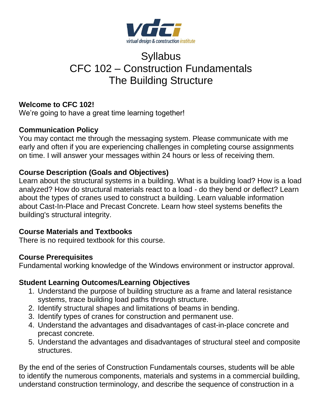

# Syllabus CFC 102 – Construction Fundamentals The Building Structure

# **Welcome to CFC 102!**

We're going to have a great time learning together!

# **Communication Policy**

You may contact me through the messaging system. Please communicate with me early and often if you are experiencing challenges in completing course assignments on time. I will answer your messages within 24 hours or less of receiving them.

# **Course Description (Goals and Objectives)**

Learn about the structural systems in a building. What is a building load? How is a load analyzed? How do structural materials react to a load - do they bend or deflect? Learn about the types of cranes used to construct a building. Learn valuable information about Cast-In-Place and Precast Concrete. Learn how steel systems benefits the building's structural integrity.

# **Course Materials and Textbooks**

There is no required textbook for this course.

# **Course Prerequisites**

Fundamental working knowledge of the Windows environment or instructor approval.

# **Student Learning Outcomes/Learning Objectives**

- 1. Understand the purpose of building structure as a frame and lateral resistance systems, trace building load paths through structure.
- 2. Identify structural shapes and limitations of beams in bending.
- 3. Identify types of cranes for construction and permanent use.
- 4. Understand the advantages and disadvantages of cast-in-place concrete and precast concrete.
- 5. Understand the advantages and disadvantages of structural steel and composite structures.

By the end of the series of Construction Fundamentals courses, students will be able to identify the numerous components, materials and systems in a commercial building, understand construction terminology, and describe the sequence of construction in a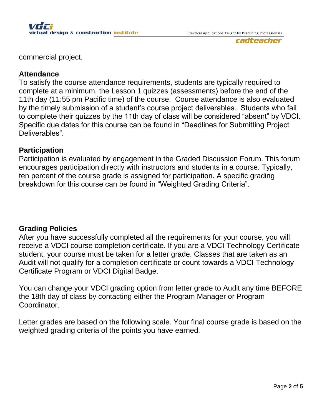

commercial project.

#### **Attendance**

To satisfy the course attendance requirements, students are typically required to complete at a minimum, the Lesson 1 quizzes (assessments) before the end of the 11th day (11:55 pm Pacific time) of the course. Course attendance is also evaluated by the timely submission of a student's course project deliverables. Students who fail to complete their quizzes by the 11th day of class will be considered "absent" by VDCI. Specific due dates for this course can be found in "Deadlines for Submitting Project Deliverables".

## **Participation**

Participation is evaluated by engagement in the Graded Discussion Forum. This forum encourages participation directly with instructors and students in a course. Typically, ten percent of the course grade is assigned for participation. A specific grading breakdown for this course can be found in "Weighted Grading Criteria".

## **Grading Policies**

After you have successfully completed all the requirements for your course, you will receive a VDCI course completion certificate. If you are a VDCI Technology Certificate student, your course must be taken for a letter grade. Classes that are taken as an Audit will not qualify for a completion certificate or count towards a VDCI Technology Certificate Program or VDCI Digital Badge.

You can change your VDCI grading option from letter grade to Audit any time BEFORE the 18th day of class by contacting either the Program Manager or Program Coordinator.

Letter grades are based on the following scale. Your final course grade is based on the weighted grading criteria of the points you have earned.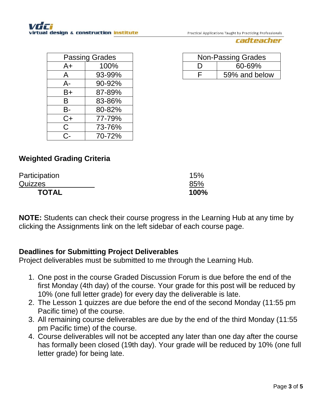Practical Applications Taught by Practicing Professionals

#### cadteacher

| <b>Passing Grades</b> |        |  |
|-----------------------|--------|--|
| $A+$                  | 100%   |  |
| A                     | 93-99% |  |
| A-                    | 90-92% |  |
| B+                    | 87-89% |  |
| В                     | 83-86% |  |
| В-                    | 80-82% |  |
| $C+$                  | 77-79% |  |
| C.                    | 73-76% |  |
| $C$ -                 | 70-72% |  |

| <b>Non-Passing Grades</b> |               |  |
|---------------------------|---------------|--|
|                           | 60-69%        |  |
|                           | 59% and below |  |

# **Weighted Grading Criteria**

| Participation | 15%  |
|---------------|------|
| Quizzes       | 85%  |
| <b>TOTAL</b>  | 100% |

**NOTE:** Students can check their course progress in the Learning Hub at any time by clicking the Assignments link on the left sidebar of each course page.

## **Deadlines for Submitting Project Deliverables**

Project deliverables must be submitted to me through the Learning Hub.

- 1. One post in the course Graded Discussion Forum is due before the end of the first Monday (4th day) of the course. Your grade for this post will be reduced by 10% (one full letter grade) for every day the deliverable is late.
- 2. The Lesson 1 quizzes are due before the end of the second Monday (11:55 pm Pacific time) of the course.
- 3. All remaining course deliverables are due by the end of the third Monday (11:55 pm Pacific time) of the course.
- 4. Course deliverables will not be accepted any later than one day after the course has formally been closed (19th day). Your grade will be reduced by 10% (one full letter grade) for being late.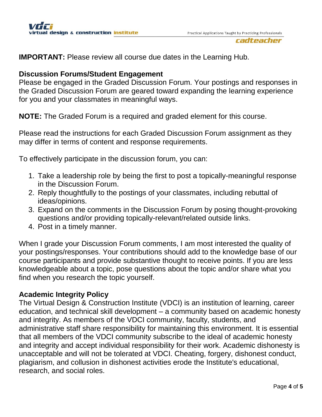#### cadteacher

**IMPORTANT:** Please review all course due dates in the Learning Hub.

#### **Discussion Forums/Student Engagement**

Please be engaged in the Graded Discussion Forum. Your postings and responses in the Graded Discussion Forum are geared toward expanding the learning experience for you and your classmates in meaningful ways.

**NOTE:** The Graded Forum is a required and graded element for this course.

Please read the instructions for each Graded Discussion Forum assignment as they may differ in terms of content and response requirements.

To effectively participate in the discussion forum, you can:

- 1. Take a leadership role by being the first to post a topically-meaningful response in the Discussion Forum.
- 2. Reply thoughtfully to the postings of your classmates, including rebuttal of ideas/opinions.
- 3. Expand on the comments in the Discussion Forum by posing thought-provoking questions and/or providing topically-relevant/related outside links.
- 4. Post in a timely manner.

When I grade your Discussion Forum comments, I am most interested the quality of your postings/responses. Your contributions should add to the knowledge base of our course participants and provide substantive thought to receive points. If you are less knowledgeable about a topic, pose questions about the topic and/or share what you find when you research the topic yourself.

## **Academic Integrity Policy**

The Virtual Design & Construction Institute (VDCI) is an institution of learning, career education, and technical skill development – a community based on academic honesty and integrity. As members of the VDCI community, faculty, students, and administrative staff share responsibility for maintaining this environment. It is essential that all members of the VDCI community subscribe to the ideal of academic honesty and integrity and accept individual responsibility for their work. Academic dishonesty is unacceptable and will not be tolerated at VDCI. Cheating, forgery, dishonest conduct, plagiarism, and collusion in dishonest activities erode the Institute's educational, research, and social roles.